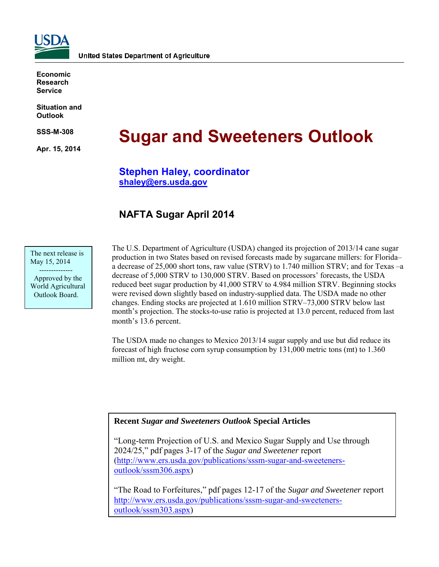

**Economic Research Service**

**Situation and Outlook**

**SSS-M-308** 

**Apr. 15, 2014** 

# **Sugar and Sweeteners Outlook**

### **Stephen Haley, coordinator [shaley@ers.usda.gov](mailto:shaley@ers.usda.gov)**

## **NAFTA Sugar April 2014**

The next release is May 15, 2014

 -------------- Approved by the World Agricultural Outlook Board.

The U.S. Department of Agriculture (USDA) changed its projection of 2013/14 cane sugar production in two States based on revised forecasts made by sugarcane millers: for Florida– a decrease of 25,000 short tons, raw value (STRV) to 1.740 million STRV; and for Texas –a decrease of 5,000 STRV to 130,000 STRV. Based on processors' forecasts, the USDA reduced beet sugar production by 41,000 STRV to 4.984 million STRV. Beginning stocks were revised down slightly based on industry-supplied data. The USDA made no other changes. Ending stocks are projected at 1.610 million STRV–73,000 STRV below last month's projection. The stocks-to-use ratio is projected at 13.0 percent, reduced from last month's 13.6 percent.

The USDA made no changes to Mexico 2013/14 sugar supply and use but did reduce its forecast of high fructose corn syrup consumption by 131,000 metric tons (mt) to 1.360 million mt, dry weight.

### **Recent** *Sugar and Sweeteners Outlook* **Special Articles**

"Long-term Projection of U.S. and Mexico Sugar Supply and Use through 2024/25," pdf pages 3-17 of the *Sugar and Sweetener* report [\(http://www.ers.usda.gov/publications/sssm-sugar-and-sweeteners](http://www.ers.usda.gov/publications/sssm-sugar-and-sweeteners-outlook/sssm306.aspx)[outlook/sssm306.aspx\)](http://www.ers.usda.gov/publications/sssm-sugar-and-sweeteners-outlook/sssm306.aspx)

"The Road to Forfeitures," pdf pages 12-17 of the *Sugar and Sweetener* report [http://www.ers.usda.gov/publications/sssm-sugar-and-sweeteners](http://www.ers.usda.gov/publications/sssm-sugar-and-sweeteners-outlook/sssm303.aspx)[outlook/sssm303.aspx\)](http://www.ers.usda.gov/publications/sssm-sugar-and-sweeteners-outlook/sssm303.aspx)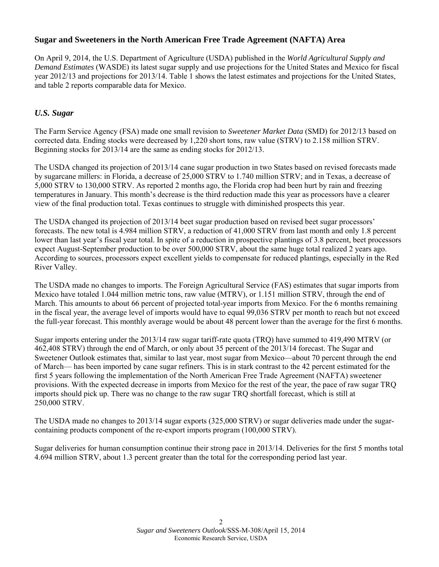### **Sugar and Sweeteners in the North American Free Trade Agreement (NAFTA) Area**

On April 9, 2014, the U.S. Department of Agriculture (USDA) published in the *World Agricultural Supply and Demand Estimates* (WASDE) its latest sugar supply and use projections for the United States and Mexico for fiscal year 2012/13 and projections for 2013/14. Table 1 shows the latest estimates and projections for the United States, and table 2 reports comparable data for Mexico.

### *U.S. Sugar*

The Farm Service Agency (FSA) made one small revision to *Sweetener Market Data* (SMD) for 2012/13 based on corrected data. Ending stocks were decreased by 1,220 short tons, raw value (STRV) to 2.158 million STRV. Beginning stocks for 2013/14 are the same as ending stocks for 2012/13.

The USDA changed its projection of 2013/14 cane sugar production in two States based on revised forecasts made by sugarcane millers: in Florida, a decrease of 25,000 STRV to 1.740 million STRV; and in Texas, a decrease of 5,000 STRV to 130,000 STRV. As reported 2 months ago, the Florida crop had been hurt by rain and freezing temperatures in January. This month's decrease is the third reduction made this year as processors have a clearer view of the final production total. Texas continues to struggle with diminished prospects this year.

The USDA changed its projection of 2013/14 beet sugar production based on revised beet sugar processors' forecasts. The new total is 4.984 million STRV, a reduction of 41,000 STRV from last month and only 1.8 percent lower than last year's fiscal year total. In spite of a reduction in prospective plantings of 3.8 percent, beet processors expect August-September production to be over 500,000 STRV, about the same huge total realized 2 years ago. According to sources, processors expect excellent yields to compensate for reduced plantings, especially in the Red River Valley.

The USDA made no changes to imports. The Foreign Agricultural Service (FAS) estimates that sugar imports from Mexico have totaled 1.044 million metric tons, raw value (MTRV), or 1.151 million STRV, through the end of March. This amounts to about 66 percent of projected total-year imports from Mexico. For the 6 months remaining in the fiscal year, the average level of imports would have to equal 99,036 STRV per month to reach but not exceed the full-year forecast. This monthly average would be about 48 percent lower than the average for the first 6 months.

Sugar imports entering under the 2013/14 raw sugar tariff-rate quota (TRQ) have summed to 419,490 MTRV (or 462,408 STRV) through the end of March, or only about 35 percent of the 2013/14 forecast. The Sugar and Sweetener Outlook estimates that, similar to last year, most sugar from Mexico—about 70 percent through the end of March— has been imported by cane sugar refiners. This is in stark contrast to the 42 percent estimated for the first 5 years following the implementation of the North American Free Trade Agreement (NAFTA) sweetener provisions. With the expected decrease in imports from Mexico for the rest of the year, the pace of raw sugar TRQ imports should pick up. There was no change to the raw sugar TRQ shortfall forecast, which is still at 250,000 STRV.

The USDA made no changes to 2013/14 sugar exports (325,000 STRV) or sugar deliveries made under the sugarcontaining products component of the re-export imports program (100,000 STRV).

Sugar deliveries for human consumption continue their strong pace in 2013/14. Deliveries for the first 5 months total 4.694 million STRV, about 1.3 percent greater than the total for the corresponding period last year.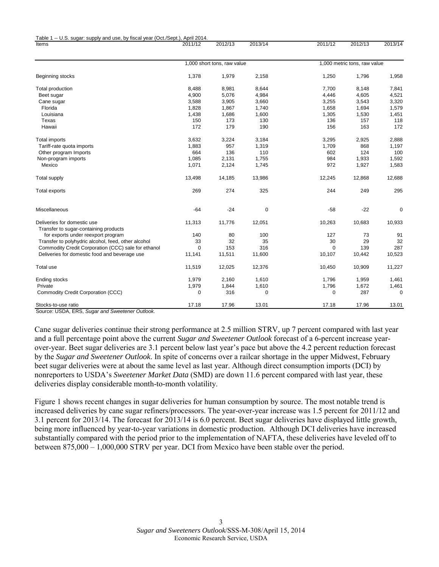| Items                                                                | 2011/12     | 2012/13                     | 2013/14     | 2011/12  | 2012/13                      | 2013/14     |  |  |  |
|----------------------------------------------------------------------|-------------|-----------------------------|-------------|----------|------------------------------|-------------|--|--|--|
|                                                                      |             |                             |             |          |                              |             |  |  |  |
|                                                                      |             | 1,000 short tons, raw value |             |          | 1,000 metric tons, raw value |             |  |  |  |
| Beginning stocks                                                     | 1,378       | 1,979                       | 2,158       | 1,250    | 1,796                        | 1,958       |  |  |  |
| Total production                                                     | 8,488       | 8,981                       | 8,644       | 7,700    | 8,148                        | 7,841       |  |  |  |
| Beet sugar                                                           | 4,900       | 5,076                       | 4,984       | 4,446    | 4,605                        | 4,521       |  |  |  |
| Cane sugar                                                           | 3,588       | 3,905                       | 3,660       | 3,255    | 3,543                        | 3,320       |  |  |  |
| Florida                                                              | 1,828       | 1,867                       | 1,740       | 1,658    | 1,694                        | 1,579       |  |  |  |
| Louisiana                                                            | 1,438       | 1,686                       | 1,600       | 1,305    | 1,530                        | 1,451       |  |  |  |
| Texas                                                                | 150         | 173                         | 130         | 136      | 157                          | 118         |  |  |  |
| Hawaii                                                               | 172         | 179                         | 190         | 156      | 163                          | 172         |  |  |  |
| <b>Total imports</b>                                                 | 3,632       | 3,224                       | 3,184       | 3,295    | 2,925                        | 2,888       |  |  |  |
| Tariff-rate quota imports                                            | 1,883       | 957                         | 1,319       | 1,709    | 868                          | 1,197       |  |  |  |
| Other program Imports                                                | 664         | 136                         | 110         | 602      | 124                          | 100         |  |  |  |
| Non-program imports                                                  | 1,085       | 2,131                       | 1,755       | 984      | 1,933                        | 1,592       |  |  |  |
| Mexico                                                               | 1,071       | 2,124                       | 1,745       | 972      | 1,927                        | 1,583       |  |  |  |
| <b>Total supply</b>                                                  | 13,498      | 14,185                      | 13,986      | 12,245   | 12,868                       | 12,688      |  |  |  |
| Total exports                                                        | 269         | 274                         | 325         | 244      | 249                          | 295         |  |  |  |
| Miscellaneous                                                        | $-64$       | $-24$                       | $\mathbf 0$ | $-58$    | $-22$                        | $\mathbf 0$ |  |  |  |
| Deliveries for domestic use<br>Transfer to sugar-containing products | 11,313      | 11,776                      | 12,051      | 10,263   | 10,683                       | 10,933      |  |  |  |
| for exports under reexport program                                   | 140         | 80                          | 100         | 127      | 73                           | 91          |  |  |  |
| Transfer to polyhydric alcohol, feed, other alcohol                  | 33          | 32                          | 35          | 30       | 29                           | 32          |  |  |  |
| Commodity Credit Corporation (CCC) sale for ethanol                  | $\mathbf 0$ | 153                         | 316         | $\Omega$ | 139                          | 287         |  |  |  |
| Deliveries for domestic food and beverage use                        | 11,141      | 11,511                      | 11,600      | 10,107   | 10,442                       | 10,523      |  |  |  |
| Total use                                                            | 11,519      | 12,025                      | 12,376      | 10,450   | 10,909                       | 11,227      |  |  |  |
| Ending stocks                                                        | 1,979       | 2,160                       | 1,610       | 1,796    | 1,959                        | 1,461       |  |  |  |
| Private                                                              | 1,979       | 1,844                       | 1,610       | 1,796    | 1,672                        | 1,461       |  |  |  |
| Commodity Credit Corporation (CCC)                                   | 0           | 316                         | 0           | 0        | 287                          | 0           |  |  |  |
| Stocks-to-use ratio                                                  | 17.18       | 17.96                       | 13.01       | 17.18    | 17.96                        | 13.01       |  |  |  |
| Course LICDA EDC<br>Current Currenter Outlands                       |             |                             |             |          |                              |             |  |  |  |

ce: USDA, ERS, *Sugar and Sweetener Outlook*.

Table 1 -- U.S. sugar: supply and use, by fiscal year (Oct./Sept.), April 2014.

Cane sugar deliveries continue their strong performance at 2.5 million STRV, up 7 percent compared with last year and a full percentage point above the current *Sugar and Sweetener Outlook* forecast of a 6-percent increase yearover-year. Beet sugar deliveries are 3.1 percent below last year's pace but above the 4.2 percent reduction forecast by the *Sugar and Sweetener Outlook*. In spite of concerns over a railcar shortage in the upper Midwest, February beet sugar deliveries were at about the same level as last year. Although direct consumption imports (DCI) by nonreporters to USDA's *Sweetener Market Data* (SMD) are down 11.6 percent compared with last year, these deliveries display considerable month-to-month volatility.

Figure 1 shows recent changes in sugar deliveries for human consumption by source. The most notable trend is increased deliveries by cane sugar refiners/processors. The year-over-year increase was 1.5 percent for 2011/12 and 3.1 percent for 2013/14. The forecast for 2013/14 is 6.0 percent. Beet sugar deliveries have displayed little growth, being more influenced by year-to-year variations in domestic production. Although DCI deliveries have increased substantially compared with the period prior to the implementation of NAFTA, these deliveries have leveled off to between 875,000 – 1,000,000 STRV per year. DCI from Mexico have been stable over the period.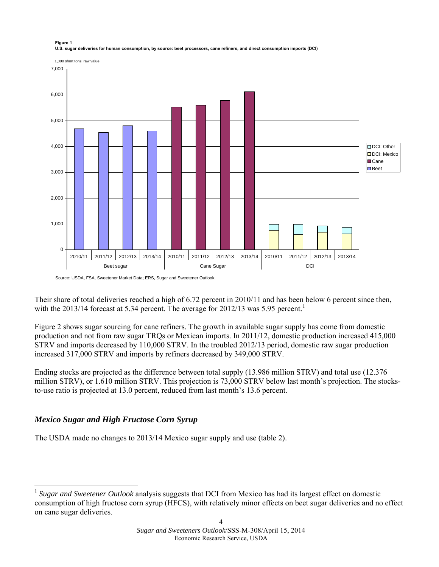

#### **Figure 1 U.S. sugar deliveries for human consumption, by source: beet processors, cane refiners, and direct consumption imports (DCI)**

Source: USDA, FSA, Sweetener Market Data; ERS, Sugar and Sweetener Outlook.

Their share of total deliveries reached a high of 6.72 percent in 2010/11 and has been below 6 percent since then, with the 20[1](#page-3-0)3/14 forecast at 5.34 percent. The average for 2012/13 was 5.95 percent.<sup>1</sup>

Figure 2 shows sugar sourcing for cane refiners. The growth in available sugar supply has come from domestic production and not from raw sugar TRQs or Mexican imports. In 2011/12, domestic production increased 415,000 STRV and imports decreased by 110,000 STRV. In the troubled 2012/13 period, domestic raw sugar production increased 317,000 STRV and imports by refiners decreased by 349,000 STRV.

Ending stocks are projected as the difference between total supply (13.986 million STRV) and total use (12.376 million STRV), or 1.610 million STRV. This projection is 73,000 STRV below last month's projection. The stocksto-use ratio is projected at 13.0 percent, reduced from last month's 13.6 percent.

### *Mexico Sugar and High Fructose Corn Syrup*

-

The USDA made no changes to 2013/14 Mexico sugar supply and use (table 2).

<span id="page-3-0"></span><sup>&</sup>lt;sup>1</sup> Sugar and Sweetener Outlook analysis suggests that DCI from Mexico has had its largest effect on domestic consumption of high fructose corn syrup (HFCS), with relatively minor effects on beet sugar deliveries and no effect on cane sugar deliveries.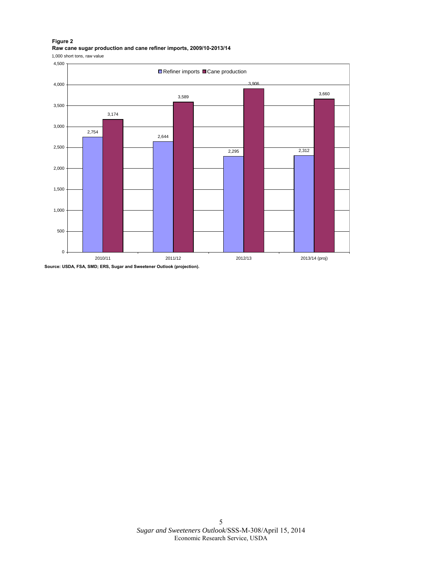#### **Figure 2 Raw cane sugar production and cane refiner imports, 2009/10-2013/14**

1,000 short tons, raw value



**Source: USDA, FSA, SMD; ERS, Sugar and Sweetener Outlook (projection).**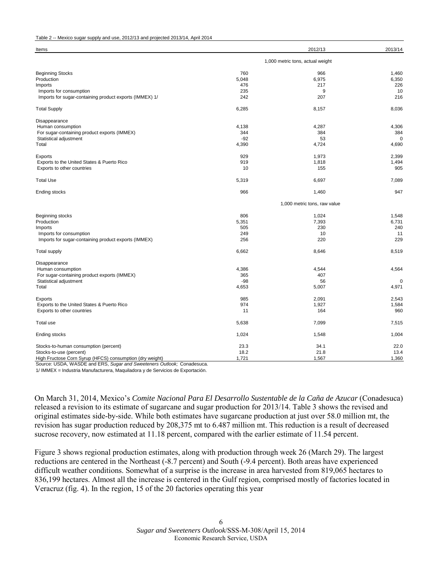| Table 2 -- Mexico sugar supply and use, 2012/13 and projected 2013/14, April 2014 |  |
|-----------------------------------------------------------------------------------|--|
|-----------------------------------------------------------------------------------|--|

| Items                                                    |       | 2012/13                          | 2013/14     |
|----------------------------------------------------------|-------|----------------------------------|-------------|
|                                                          |       | 1,000 metric tons, actual weight |             |
| <b>Beginning Stocks</b>                                  | 760   | 966                              | 1,460       |
| Production                                               | 5,048 | 6,975                            | 6,350       |
| Imports                                                  | 476   | 217                              | 226         |
| Imports for consumption                                  | 235   | 9                                | 10          |
| Imports for sugar-containing product exports (IMMEX) 1/  | 242   | 207                              | 216         |
| <b>Total Supply</b>                                      | 6,285 | 8,157                            | 8,036       |
| Disappearance                                            |       |                                  |             |
| Human consumption                                        | 4,138 | 4,287                            | 4,306       |
| For sugar-containing product exports (IMMEX)             | 344   | 384                              | 384         |
| Statistical adjustment                                   | $-92$ | 53                               | $\Omega$    |
| Total                                                    | 4,390 | 4,724                            | 4,690       |
| Exports                                                  | 929   | 1,973                            | 2,399       |
| Exports to the United States & Puerto Rico               | 919   | 1,818                            | 1,494       |
| Exports to other countries                               | 10    | 155                              | 905         |
| <b>Total Use</b>                                         | 5,319 | 6,697                            | 7,089       |
| <b>Ending stocks</b>                                     | 966   | 1,460                            | 947         |
|                                                          |       | 1,000 metric tons, raw value     |             |
| Beginning stocks                                         | 806   | 1,024                            | 1,548       |
| Production                                               | 5,351 | 7,393                            | 6,731       |
| Imports                                                  | 505   | 230                              | 240         |
| Imports for consumption                                  | 249   | 10                               | 11          |
| Imports for sugar-containing product exports (IMMEX)     | 256   | 220                              | 229         |
| <b>Total supply</b>                                      | 6,662 | 8,646                            | 8,519       |
| Disappearance                                            |       |                                  |             |
| Human consumption                                        | 4,386 | 4,544                            | 4,564       |
| For sugar-containing product exports (IMMEX)             | 365   | 407                              |             |
| Statistical adjustment                                   | $-98$ | 56                               | $\mathbf 0$ |
| Total                                                    | 4,653 | 5,007                            | 4,971       |
| Exports                                                  | 985   | 2,091                            | 2,543       |
| Exports to the United States & Puerto Rico               | 974   | 1,927                            | 1,584       |
| Exports to other countries                               | 11    | 164                              | 960         |
| Total use                                                | 5,638 | 7,099                            | 7,515       |
| Ending stocks                                            | 1,024 | 1,548                            | 1,004       |
| Stocks-to-human consumption (percent)                    | 23.3  | 34.1                             | 22.0        |
| Stocks-to-use (percent)                                  | 18.2  | 21.8                             | 13.4        |
| High Fructose Corn Syrup (HFCS) consumption (dry weight) | 1,721 | 1,567                            | 1,360       |

Source: USDA, WASDE and ERS, *Sugar and Sweeteners Outlook;* Conadesuca.

1/ IMMEX = Industria Manufacturera, Maquiladora y de Servicios de Exportación.

On March 31, 2014, Mexico's *Comite Nacional Para El Desarrollo Sustentable de la Caña de Azucar* (Conadesuca) released a revision to its estimate of sugarcane and sugar production for 2013/14. Table 3 shows the revised and original estimates side-by-side. While both estimates have sugarcane production at just over 58.0 million mt, the revision has sugar production reduced by 208,375 mt to 6.487 million mt. This reduction is a result of decreased sucrose recovery, now estimated at 11.18 percent, compared with the earlier estimate of 11.54 percent.

Figure 3 shows regional production estimates, along with production through week 26 (March 29). The largest reductions are centered in the Northeast (-8.7 percent) and South (-9.4 percent). Both areas have experienced difficult weather conditions. Somewhat of a surprise is the increase in area harvested from 819,065 hectares to 836,199 hectares. Almost all the increase is centered in the Gulf region, comprised mostly of factories located in Veracruz (fig. 4). In the region, 15 of the 20 factories operating this year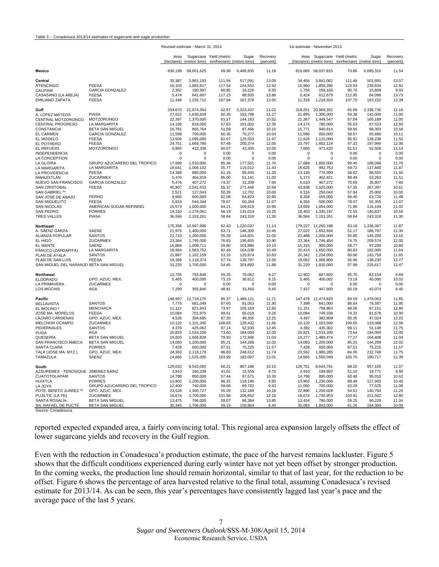|                                        |                                                  | Revised estimate - March 31, 2014 |                        |                                                       |                    |                       | 1st estimate - November 2013 |                        |                                                                                     |                    |                       |  |
|----------------------------------------|--------------------------------------------------|-----------------------------------|------------------------|-------------------------------------------------------|--------------------|-----------------------|------------------------------|------------------------|-------------------------------------------------------------------------------------|--------------------|-----------------------|--|
|                                        |                                                  | Area<br>(hectares)                | (metric tons)          | Sugarcane Yield (metric<br>ton/hectare) (metric tons) | Sugar              | Recovery<br>(percent) |                              |                        | Area Sugarcane Yield (metric<br>(hectares) (metric tons) ton/hectare) (metric tons) | Sugar              | Recovery<br>(percent) |  |
| Mexico                                 |                                                  | 836,199                           | 58,001,625             | 69.36                                                 | 6,486,935          | 11.18                 |                              | 819,065 58,037,815     | 70.86                                                                               | 6,695,310          | 11.54                 |  |
| Central                                |                                                  | 35,387                            | 3,961,193              | 111.94                                                | 517,091            | 13.05                 | 34,456                       | 3,841,062              | 111.48                                                                              | 501,891            | 13.07                 |  |
| <b>ATENCINGO</b>                       | <b>FEESA</b>                                     | 16,103                            | 1,892,817              | 117.54                                                | 244,552            | 12.92                 | 15,960                       | 1,850,280              | 115.93                                                                              | 238,834            | 12.91                 |  |
| CALIPAM                                | <b>GARCIA GONZALEZ</b>                           | 2,362                             | 190,997                | 80.85                                                 | 16,226             | 8.50                  | 1,754                        | 159,183                | 90.76                                                                               | 15,809             | 9.93                  |  |
| CASASANO (LA ABEJA)                    | <b>FEESA</b>                                     | 5,474                             | 641,667                | 117.23                                                | 88,935             | 13.86                 | 5,424                        | 612,679                | 112.95                                                                              | 84,096             | 13.73                 |  |
| <b>EMILIANO ZAPATA</b>                 | <b>FEESA</b>                                     | 11,448                            | 1,235,712              | 107.94                                                | 167,378            | 13.55                 | 11,318                       | 1,218,920              | 107.70                                                                              | 163,152            | 13.39                 |  |
| Gulf                                   |                                                  | 334,670                           | 21,074,354             | 62.97                                                 | 2,323,437          | 11.02                 | 319,251                      | 20,969,352             | 65.68                                                                               | 2,339,730          | 11.16                 |  |
| A. LÓPEZ MATEOS                        | <b>PIASA</b>                                     | 27,022                            | 1,630,839              | 60.35                                                 | 183,788            | 11.27                 | 21,895                       | 1,300,000              | 59.38                                                                               | 143,000            | 11.00                 |  |
| CENTRAL MOTZORONGO                     | MOTZORONGO                                       | 22,397                            | 1,370,000              | 61.17                                                 | 144,183            | 10.52                 | 21,367                       | 1,449,547              | 67.84                                                                               | 160,189            | 11.05                 |  |
| <b>CENTRAL PROGRESO</b>                | LA MARGARITA<br><b>BETA SAN MIGUEL</b>           | 14,195                            | 818,000<br>865,764     | 57.63<br>51.59                                        | 101,002<br>87,466  | 12.35<br>10.10        | 14,174<br>15,771             | 780,000<br>940,814     | 55.03<br>59.65                                                                      | 97,523<br>99,303   | 12.50<br>10.56        |  |
| CONSTANCIA<br>EL CARMEN                | <b>GARCIA GONZALEZ</b>                           | 16,781<br>11,598                  | 700,000                | 60.35                                                 | 70,277             | 10.04                 | 11,098                       | 650,000                | 58.57                                                                               | 65,680             | 10.11                 |  |
| EL MODELO                              | <b>FEESA</b>                                     | 13,506                            | 1,095,000              | 81.07                                                 | 125,553            | 11.47                 | 11,626                       | 1,115,000              | 95.91                                                                               | 128,236            | 11.50                 |  |
| EL POTRERO                             | <b>FEESA</b>                                     | 24,751                            | 1,669,780              | 67.46                                                 | 200,374            | 12.00                 | 23,797                       | 1,602,124              | 67.33                                                                               | 197,990            | 12.36                 |  |
| EL REFUGIO                             | <b>MOTZORONGO</b>                                | 6,865                             | 412,336                | 60.07                                                 | 43,305             | 10.50                 | 7,665                        | 471,420                | 61.51                                                                               | 52,508             | 11.14                 |  |
| <b>INDEPENDENCIA</b>                   |                                                  | $\mathbf 0$                       | $\Omega$               | 0.00                                                  | $\Omega$           | 0.00                  | $\mathbf 0$                  | $\Omega$               | 0.00                                                                                | $\Omega$           | 0.00                  |  |
| LA CONCEPTION                          |                                                  | $\mathbf 0$                       | $\pmb{0}$              | 0.00                                                  | $\pmb{0}$          | 0.00                  | $\mathsf 0$                  | $\mathbf 0$            | 0.00                                                                                | $\Omega$           | 0.00                  |  |
| LA GLORIA                              | GRUPO AZUCARERO DEL TROPICO                      | 17,689                            | 1,510,000              | 85.36                                                 | 177,501            | 11.76                 | 17,689                       | 1,600,000              | 90.45                                                                               | 188,096            | 11.76                 |  |
| LA MARGARITA                           | LA MARGARITA                                     | 18,041                            | 1,006,102              | 55.77                                                 | 115,012            | 11.43                 | 16,625                       | 992,753                | 59.72                                                                               | 117,840            | 11.87                 |  |
| LA PROVIDENCIA<br>MAHUIXTLÁN           | <b>FEESA</b><br><b>ZUCARMEX</b>                  | 14,389                            | 880,000                | 61.16<br>85.00                                        | 99,440<br>51.141   | 11.30<br>11.00        | 13,136                       | 770,000                | 58.62<br>89.49                                                                      | 88,550             | 11.50<br>11.51        |  |
| NUEVO SAN FRANCISCO                    | <b>GARCIA GONZALEZ</b>                           | 5,470<br>5,476                    | 464,919<br>407,272     | 74.37                                                 | 31,209             | 7.66                  | 5,173<br>6,610               | 462,921<br>467,272     | 70.69                                                                               | 53,263<br>35,807   | 7.66                  |  |
| SAN CRISTÓBAL                          | <b>FEESA</b>                                     | 45,907                            | 2,541,633              | 55.37                                                 | 271,446            | 10.68                 | 43,938                       | 2,520,000              | 57.35                                                                               | 267,397            | 10.61                 |  |
| SAN GABRIEL **                         |                                                  | 2,521                             | 127,043                | 50.39                                                 | 12,702             | 10.00                 | 4,316                        | 250,043                | 57.94                                                                               | 25,000             | 10.00                 |  |
| SAN JOSÉ DE ABAJO                      | PERNO                                            | 9,665                             | 600,000                | 62.08                                                 | 64,823             | 10.80                 | 8,359                        | 555,000                | 66.40                                                                               | 63,729             | 11.48                 |  |
| <b>SAN MIGUELITO</b>                   | <b>FEESA</b>                                     | 6,919                             | 544,344                | 78.67                                                 | 60,264             | 11.07                 | 6,356                        | 500,000                | 78.67                                                                               | 55,355             | 11.07                 |  |
| <b>SAN NICOLÁS</b>                     | AMERICAN SUGAR REFINING                          | 15,574                            | 1,000,000              | 64.21                                                 | 109,619            | 10.96                 | 14,659                       | 1,054,000              | 71.90                                                                               | 116,109            | 11.02                 |  |
| <b>SAN PEDRO</b>                       | <b>PORRES</b>                                    | 19,310                            | 1,278,061              | 66.19                                                 | 131,014            | 10.25                 | 18,403                       | 1,335,197              | 72.55                                                                               | 140,837            | 10.55                 |  |
| <b>TRES VALLES</b>                     | <b>PIASA</b>                                     | 36,594                            | 2,153,261              | 58.84                                                 | 243,318            | 11.30                 | 36,594                       | 2,153,261              | 58.84                                                                               | 243,318            | 11.30                 |  |
| Northeast                              |                                                  | 175,358                           | 10,947,996             | 62.43                                                 | 1,220,037          | 11.14                 | 178,227                      | 11,260,188             | 63.18                                                                               | 1,336,367          | 11.87                 |  |
| A. SÁENZ GARZA                         | SAENZ                                            | 21,976                            | 1,400,000              | 63.71                                                 | 146,300            | 10.45                 | 27,022                       | 1,652,934              | 61.17                                                                               | 186,787            | 11.30                 |  |
| ALIANZA POPULAR                        | <b>SANTOS</b>                                    | 21,710                            | 1,200,000              | 55.28                                                 | 144,601            | 12.05                 | 21,488                       | 1,200,000              | 55.85                                                                               | 145,200            | 12.10                 |  |
| EL HIGO                                | ZUCARMEX                                         | 23,364                            | 1,795,000              | 76.83                                                 | 195,655            | 10.90                 | 23,364                       | 1,746,454              | 74.75                                                                               | 209,574            | 12.00                 |  |
| EL MANTE<br>PÁNUCO (ZAPOAPITA)         | SAENZ<br>LA MARGARITA                            | 16,869<br>18,964                  | 1,008,711              | 59.80<br>82.46                                        | 101,880<br>164,038 | 10.10                 | 15,315<br>20,414             | 900,000<br>1,650,000   | 58.77<br>80.83                                                                      | 97,200<br>192,000  | 10.80<br>11.64        |  |
| PLAN DE AYALA                          | <b>SANTOS</b>                                    | 21,887                            | 1,563,752<br>1,162,159 | 53.10                                                 | 125,874            | 10.49<br>10.83        | 20,342                       | 1,234,000              | 60.66                                                                               | 143,759            | 11.65                 |  |
| PLAN DE SAN LUIS                       | <b>FEESA</b>                                     | 19,368                            | 1,118,374              | 57.74                                                 | 139,797            | 12.50                 | 19,062                       | 1,066,800              | 55.96                                                                               | 136,230            | 12.77                 |  |
| SAN MIGUEL DEL NARANJO BETA SAN MIGUEL |                                                  | 31,220                            | 1,700,000              | 54.45                                                 | 201,892            | 11.88                 | 31,220                       | 1,810,000              | 57.98                                                                               | 225,617            | 12.47                 |  |
|                                        |                                                  | 12,755                            | 755,846                | 59.26                                                 | 70,062             | 9.27                  | 12,902                       | 847,602                | 65.70                                                                               | 82,154             | 9.69                  |  |
| Northwest<br><b>ELDORADO</b>           | GPO. AZUC. MEX.                                  | 5,465                             | 400,000                | 73.19                                                 | 36,612             | 9.15                  | 5,465                        | 400,002                | 73.19                                                                               | 40,080             | 10.02                 |  |
| LA PRIMAVERA                           | ZUCARMEX                                         | $\mathbf 0$                       | $\Omega$               | 0.00                                                  | $\Omega$           | 0.00                  | $\mathbf 0$                  | $\Omega$               | 0.00                                                                                | $\Omega$           | 0.00                  |  |
| LOS MOCHIS                             | <b>AGA</b>                                       | 7,290                             | 355,846                | 48.81                                                 | 33,450             | 9.40                  | 7,437                        | 447,600                | 60.19                                                                               | 42,074             | 9.40                  |  |
| Pacific                                |                                                  | 148,997                           | 12,719,170             | 85.37                                                 | 1,489,121          | 11.71                 | 147,478                      | 12,474,820             | 84.59                                                                               | 1,478,063          | 11.85                 |  |
| <b>BELLAVISTA</b>                      | <b>SANTOS</b>                                    | 7,775                             | 681,049                | 87.60                                                 | 81,053             | 11.90                 | 7,398                        | 641,000                | 86.64                                                                               | 76,587             | 11.95                 |  |
| EL MOLINO <sup>*</sup>                 | <b>MENCHACA</b>                                  | 11,111                            | 821,843                | 73.97                                                 | 105,163            | 12.80                 | 11,151                       | 758,863                | 68.06                                                                               | 97,151             | 12.80                 |  |
| JOSÉ MA. MORELOS                       | <b>FEESA</b>                                     | 10,084                            | 701,975                | 69.61                                                 | 65,018             | 9.26                  | 10,084                       | 749,338                | 74.31                                                                               | 81,678             | 10.90                 |  |
| LÁZARO CÁRDENAS                        | GPO. AZUC. MEX.                                  | 4,526                             | 394,685                | 87.20                                                 | 48,356             | 12.25                 | 4,497                        | 383,809                | 85.35                                                                               | 47,024             | 12.25                 |  |
| MELCHOR OCAMPO                         | ZUCARMEX                                         | 10,120                            | 1,101,350              | 108.83                                                | 128,432            | 11.66                 | 10,120                       | 1,103,500              | 109.05                                                                              | 133,088            | 12.06                 |  |
| PEDERNALES                             | <b>SANTOS</b>                                    | 4,376                             | 425,062                | 97.14                                                 | 52,930             | 12.45                 | 4,392                        | 435,302                | 99.11                                                                               | 51,148             | 11.75                 |  |
| <b>PUGA</b>                            | AGA                                              | 20,833                            | 1,533,200              | 73.60                                                 | 184,000            | 12.00                 | 20,821                       | 1,533,200              | 73.64                                                                               | 184,000            | 12.00                 |  |
| QUESERÍA<br>SAN FRANCISCO AMECA        | <b>BETA SAN MIGUEL</b><br><b>BETA SAN MIGUEL</b> | 19,603<br>14,083                  | 1,566,828<br>1,200,000 | 79.93<br>85.21                                        | 172,946<br>144,289 | 11.04<br>12.02        | 19,277<br>14,083             | 1,489,474<br>1,200,000 | 77.27<br>85.21                                                                      | 164,408<br>144,289 | 11.04<br>12.02        |  |
| SANTA CLARA                            | <b>PORRES</b>                                    | 7,428                             | 650,000                | 87.51                                                 | 75,225             | 11.57                 | 7,428                        | 650,000                | 87.51                                                                               | 75,225             | 11.57                 |  |
| TALA (JOSE MA. MTZ.)                   | GPO. AZUC. MEX.                                  | 24,393                            | 2,118,178              | 86.83                                                 | 248,612            | 11.74                 | 23,562                       | 1,980,285              | 84.05                                                                               | 232,748            | 11.75                 |  |
| TAMAZULA                               | SAENZ                                            | 14,665                            | 1,525,000              | 103.99                                                | 183,097            | 12.01                 | 14,665                       | 1,550,049              | 105.70                                                                              | 190,717            | 12.30                 |  |
| South                                  |                                                  | 129,032                           | 8,543,065              | 66.21                                                 | 867,188            | 10.15                 | 126,751                      | 8,644,791              | 68.20                                                                               | 957,105            | 11.07                 |  |
| AZSUREMEX - TENOSIQUE JIMENEZ SAINZ    |                                                  | 3,910                             | 160,338                | 41.01                                                 | 15,555             | 9.70                  | 3,910                        | 199,802                | 51.10                                                                               | 19,771             | 9.90                  |  |
| CUATOTOLAPAM                           | <b>SANTOS</b>                                    | 14,798                            | 850,000                | 57.44                                                 | 87,571             | 10.30                 | 14,798                       | 895,000                | 60.48                                                                               | 95,010             | 10.62                 |  |
| <b>HUIXTLA</b>                         | <b>PORRES</b>                                    | 13,902                            | 1,200,000              | 86.32                                                 | 118,190            | 9.85                  | 13,902                       | 1,230,008              | 88.48                                                                               | 127,945            | 10.40                 |  |
| LA JOYA                                | GRUPO AZUCARERO DEL TROPICO                      | 12,400                            | 740,000                | 59.68                                                 | 69,783             | 9.43                  | 11,060                       | 700,000                | 63.29                                                                               | 77,525             | 11.08                 |  |
| PDTE. BENITO JUÁREZ **                 | GPO. AZUC. MEX.                                  | 23,528                            | 1,300,727              | 55.29                                                 | 132,189            | 10.16                 | 22,890                       | 1,250,028              | 54.61                                                                               | 140,764            | 11.26                 |  |
| PUJILTIC (LA FE)                       | ZUCARMEX                                         | 16,674                            | 1,700,000              | 101.96                                                | 206,652            | 12.16                 | 16,674                       | 1,730,953              | 103.81                                                                              | 221,562            | 12.80                 |  |
| SANTA ROSALIA<br>SN. RAFAEL DE PUCTÉ   | <b>BETA SAN MIGUEL</b><br><b>BETA SAN MIGUEL</b> | 13,475<br>30,345                  | 796,000<br>1,796,000   | 59.07<br>59.19                                        | 86,384<br>150,864  | 10.85<br>8.40         | 13,434<br>30,083             | 796,000<br>1,843,000   | 59.25<br>61.26                                                                      | 90,228<br>184,300  | 11.34<br>10.00        |  |
| Source: Conadesuca.                    |                                                  |                                   |                        |                                                       |                    |                       |                              |                        |                                                                                     |                    |                       |  |

reported expected expanded area, a fairly convincing total. This regional area expansion largely offsets the effect of lower sugarcane yields and recovery in the Gulf region.

Even with the reduction in Conadesuca's production estimate, the pace of the harvest remains lackluster. Figure 5 shows that the difficult conditions experienced during early winter have not yet been offset by stronger production. In the coming weeks, the production line should remain horizontal, similar to that of last year, for the reduction to be offset. Figure 6 shows the percentage of area harvested relative to the final total, assuming Conadesuca's revised estimate for 2013/14. As can be seen, this year's percentages have consistently lagged last year's pace and the average pace of the last 5 years.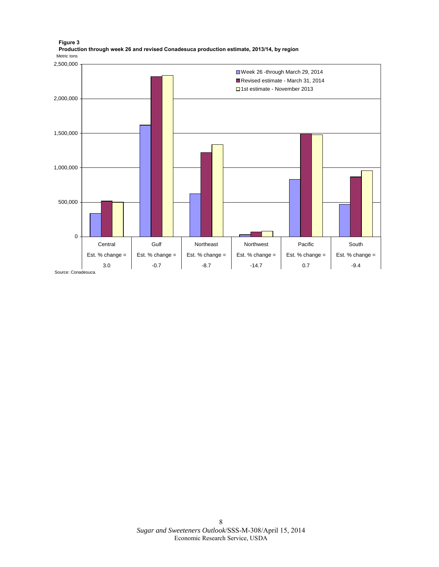

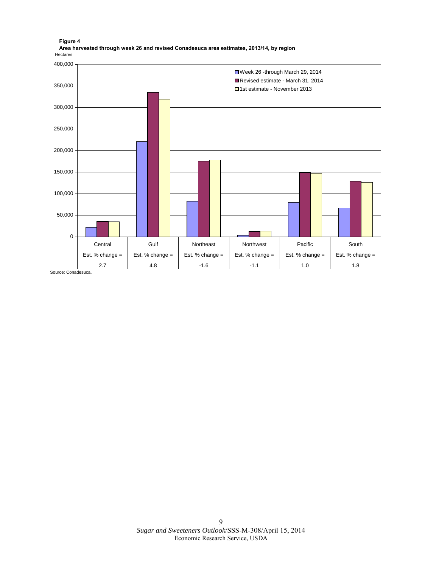

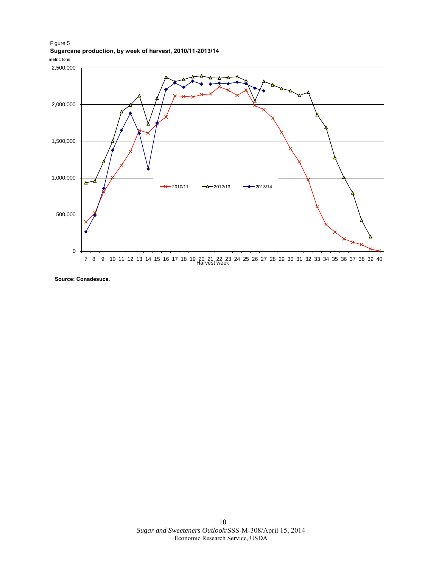Figure 5 **Sugarcane production, by week of harvest, 2010/11-2013/14**





**Source: Conadesuca.**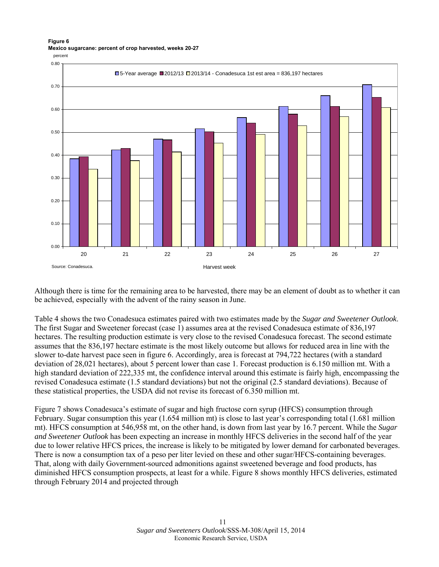### **Figure 6 Mexico sugarcane: percent of crop harvested, weeks 20-27**



Although there is time for the remaining area to be harvested, there may be an element of doubt as to whether it can be achieved, especially with the advent of the rainy season in June.

Table 4 shows the two Conadesuca estimates paired with two estimates made by the *Sugar and Sweetener Outlook*. The first Sugar and Sweetener forecast (case 1) assumes area at the revised Conadesuca estimate of 836,197 hectares. The resulting production estimate is very close to the revised Conadesuca forecast. The second estimate assumes that the 836,197 hectare estimate is the most likely outcome but allows for reduced area in line with the slower to-date harvest pace seen in figure 6. Accordingly, area is forecast at 794,722 hectares (with a standard deviation of 28,021 hectares), about 5 percent lower than case 1. Forecast production is 6.150 million mt. With a high standard deviation of 222,335 mt, the confidence interval around this estimate is fairly high, encompassing the revised Conadesuca estimate (1.5 standard deviations) but not the original (2.5 standard deviations). Because of these statistical properties, the USDA did not revise its forecast of 6.350 million mt.

Figure 7 shows Conadesuca's estimate of sugar and high fructose corn syrup (HFCS) consumption through February. Sugar consumption this year (1.654 million mt) is close to last year's corresponding total (1.681 million mt). HFCS consumption at 546,958 mt, on the other hand, is down from last year by 16.7 percent. While the *Sugar and Sweetener Outlook* has been expecting an increase in monthly HFCS deliveries in the second half of the year due to lower relative HFCS prices, the increase is likely to be mitigated by lower demand for carbonated beverages. There is now a consumption tax of a peso per liter levied on these and other sugar/HFCS-containing beverages. That, along with daily Government-sourced admonitions against sweetened beverage and food products, has diminished HFCS consumption prospects, at least for a while. Figure 8 shows monthly HFCS deliveries, estimated through February 2014 and projected through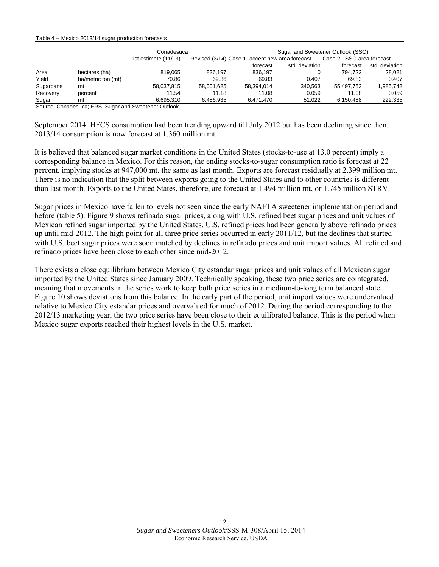#### Table 4 -- Mexico 2013/14 sugar production forecasts

|                    | Conadesuca             |                                                                                                                                                                                                                                                                                                                               | Sugar and Sweetener Outlook (SSO)                |         |                            |                          |  |  |  |
|--------------------|------------------------|-------------------------------------------------------------------------------------------------------------------------------------------------------------------------------------------------------------------------------------------------------------------------------------------------------------------------------|--------------------------------------------------|---------|----------------------------|--------------------------|--|--|--|
|                    | 1st estimate $(11/13)$ |                                                                                                                                                                                                                                                                                                                               | Revised (3/14) Case 1 - accept new area forecast |         | Case 2 - SSO area forecast |                          |  |  |  |
|                    |                        |                                                                                                                                                                                                                                                                                                                               | forecast                                         |         | forecast                   | std. deviation           |  |  |  |
| hectares (ha)      | 819.065                | 836.197                                                                                                                                                                                                                                                                                                                       | 836.197                                          |         | 794.722                    | 28.021                   |  |  |  |
| ha/metric ton (mt) | 70.86                  | 69.36                                                                                                                                                                                                                                                                                                                         | 69.83                                            | 0.407   | 69.83                      | 0.407                    |  |  |  |
| mt                 | 58.037.815             | 58.001.625                                                                                                                                                                                                                                                                                                                    | 58.394.014                                       | 340.563 | 55.497.753                 | 1,985,742                |  |  |  |
| percent            | 11.54                  | 11.18                                                                                                                                                                                                                                                                                                                         | 11.08                                            | 0.059   | 11.08                      | 0.059                    |  |  |  |
| mt                 | 6.695.310              | 6.486.935                                                                                                                                                                                                                                                                                                                     | 6.471.470                                        |         | 6.150.488                  | 222,335                  |  |  |  |
|                    |                        | $\alpha$ . $\alpha$ . It is $\alpha$ . The $\alpha$ . It is a set of $\alpha$ if $\alpha$ is a set of $\alpha$ if $\alpha$ if $\alpha$ if $\alpha$ if $\alpha$ if $\alpha$ if $\alpha$ if $\alpha$ if $\alpha$ if $\alpha$ if $\alpha$ if $\alpha$ if $\alpha$ if $\alpha$ if $\alpha$ if $\alpha$ if $\alpha$ if $\alpha$ if |                                                  |         |                            | std. deviation<br>51.022 |  |  |  |

Source: Conadesuca; ERS, Sugar and Sweetener Outlook.

September 2014. HFCS consumption had been trending upward till July 2012 but has been declining since then. 2013/14 consumption is now forecast at 1.360 million mt.

It is believed that balanced sugar market conditions in the United States (stocks-to-use at 13.0 percent) imply a corresponding balance in Mexico. For this reason, the ending stocks-to-sugar consumption ratio is forecast at 22 percent, implying stocks at 947,000 mt, the same as last month. Exports are forecast residually at 2.399 million mt. There is no indication that the split between exports going to the United States and to other countries is different than last month. Exports to the United States, therefore, are forecast at 1.494 million mt, or 1.745 million STRV.

Sugar prices in Mexico have fallen to levels not seen since the early NAFTA sweetener implementation period and before (table 5). Figure 9 shows refinado sugar prices, along with U.S. refined beet sugar prices and unit values of Mexican refined sugar imported by the United States. U.S. refined prices had been generally above refinado prices up until mid-2012. The high point for all three price series occurred in early 2011/12, but the declines that started with U.S. beet sugar prices were soon matched by declines in refinado prices and unit import values. All refined and refinado prices have been close to each other since mid-2012.

There exists a close equilibrium between Mexico City estandar sugar prices and unit values of all Mexican sugar imported by the United States since January 2009. Technically speaking, these two price series are cointegrated, meaning that movements in the series work to keep both price series in a medium-to-long term balanced state. Figure 10 shows deviations from this balance. In the early part of the period, unit import values were undervalued relative to Mexico City estandar prices and overvalued for much of 2012. During the period corresponding to the 2012/13 marketing year, the two price series have been close to their equilibrated balance. This is the period when Mexico sugar exports reached their highest levels in the U.S. market.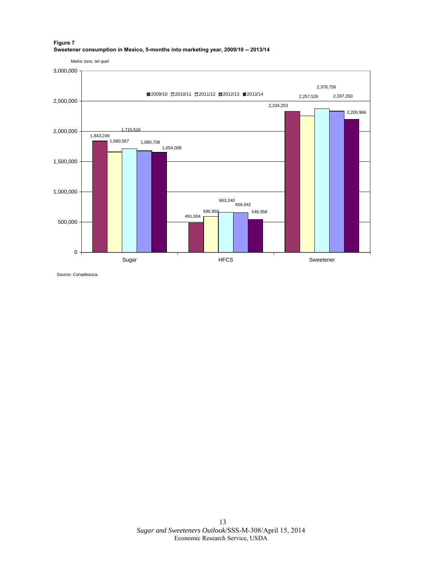#### **Figure 7 Sweetener consumption in Mexico, 5-months into marketing year, 2009/10 -- 2013/14**

1,843,249 596,959 491,004 2,334,253 1,660,567 2,257,526 1,715,516 663,240 656,642 2,378,756 1,680,708 2,337,350 1,654,008 546,958 2,200,966 0 500,000 1,000,000 1,500,000 2,000,000 2,500,000 3,000,000 Sugar Sugar HFCS HECS Sweetener Metric tons, tel quel ■2009/10 ■2010/11 ■2011/12 ■2012/13 ■2013/14

Source: Conadesuca.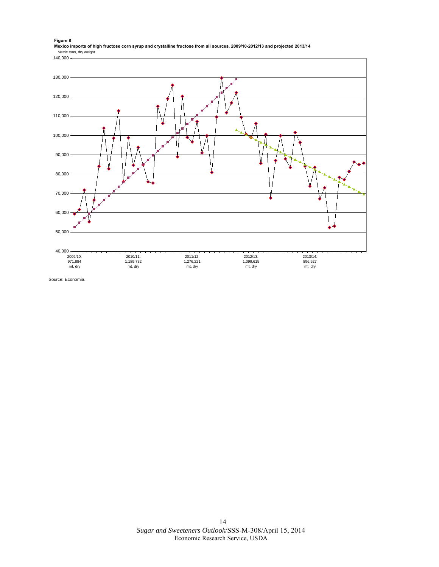**Figure 8 Mexico imports of high fructose corn syrup and crystalline fructose from all sources, 2009/10-2012/13 and projected 2013/14** Metric tons, dry weight



Source: Economia.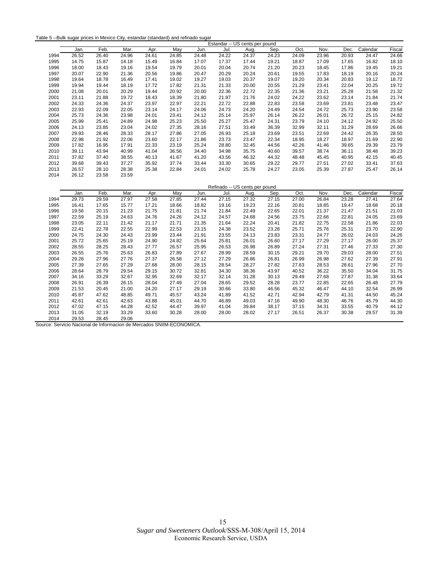| Table 5 --Bulk sugar prices in Mexico City, estandar (standard) and refinado sugar |  |
|------------------------------------------------------------------------------------|--|
|------------------------------------------------------------------------------------|--|

|      | Estandar -- US cents per pound |       |       |       |       |       |       |                                |       |       |       |       |          |        |
|------|--------------------------------|-------|-------|-------|-------|-------|-------|--------------------------------|-------|-------|-------|-------|----------|--------|
|      | Jan.                           | Feb.  | Mar.  | Apr.  | May   | Jun.  | Jul.  | Aug.                           | Sep.  | Oct.  | Nov.  | Dec.  | Calendar | Fiscal |
| 1994 | 26.52                          | 26.40 | 24.96 | 24.61 | 24.85 | 24.48 | 24.22 | 24.37                          | 24.23 | 24.09 | 23.96 | 20.93 | 24.47    | 24.66  |
| 1995 | 14.75                          | 15.87 | 14.18 | 15.49 | 16.84 | 17.07 | 17.37 | 17.44                          | 19.21 | 18.87 | 17.09 | 17.65 | 16.82    | 18.10  |
| 1996 | 18.00                          | 18.43 | 19.16 | 19.54 | 19.79 | 20.01 | 20.04 | 20.74                          | 21.20 | 20.23 | 18.45 | 17.86 | 19.45    | 19.21  |
| 1997 | 20.07                          | 22.90 | 21.36 | 20.56 | 19.86 | 20.47 | 20.29 | 20.24                          | 20.61 | 19.55 | 17.83 | 18.19 | 20.16    | 20.24  |
| 1998 | 19.64                          | 18.78 | 16.49 | 17.41 | 19.02 | 19.27 | 19.03 | 20.37                          | 19.07 | 19.20 | 20.34 | 20.83 | 19.12    | 18.72  |
| 1999 | 19.94                          | 19.44 | 18.19 | 17.72 | 17.82 | 21.31 | 21.33 | 20.00                          | 20.55 | 21.29 | 23.41 | 22.04 | 20.25    | 19.72  |
| 2000 | 21.08                          | 20.01 | 20.29 | 19.44 | 20.92 | 20.00 | 22.36 | 22.72                          | 22.35 | 21.36 | 23.21 | 25.28 | 21.58    | 21.32  |
| 2001 | 23.11                          | 21.88 | 19.72 | 18.43 | 18.39 | 21.80 | 21.97 | 21.76                          | 24.02 | 24.22 | 23.62 | 23.14 | 21.84    | 21.74  |
| 2002 | 24.33                          | 24.36 | 24.37 | 23.97 | 22.97 | 22.21 | 22.72 | 22.88                          | 22.83 | 23.58 | 23.69 | 23.81 | 23.48    | 23.47  |
| 2003 | 22.93                          | 22.09 | 22.05 | 23.14 | 24.17 | 24.06 | 24.73 | 24.20                          | 24.49 | 24.54 | 24.72 | 25.73 | 23.90    | 23.58  |
| 2004 | 25.73                          | 24.36 | 23.98 | 24.01 | 23.41 | 24.12 | 25.14 | 25.97                          | 26.14 | 26.22 | 26.01 | 26.72 | 25.15    | 24.82  |
| 2005 | 25.99                          | 25.41 | 24.89 | 24.98 | 25.23 | 25.50 | 25.27 | 25.47                          | 24.31 | 23.79 | 24.10 | 24.12 | 24.92    | 25.50  |
| 2006 | 24.13                          | 23.85 | 23.04 | 24.02 | 27.35 | 28.16 | 27.51 | 33.49                          | 36.39 | 32.99 | 32.11 | 31.29 | 28.69    | 26.66  |
| 2007 | 29.93                          | 28.46 | 28.33 | 28.17 | 27.86 | 27.05 | 26.93 | 25.18                          | 23.69 | 23.51 | 22.69 | 24.42 | 26.35    | 28.50  |
| 2008 | 22.98                          | 21.92 | 22.06 | 23.60 | 22.17 | 21.86 | 23.73 | 23.47                          | 22.34 | 18.95 | 18.27 | 18.97 | 21.69    | 22.90  |
| 2009 | 17.82                          | 16.95 | 17.91 | 22.33 | 23.19 | 25.24 | 28.80 | 32.45                          | 44.56 | 42.26 | 41.46 | 39.65 | 29.39    | 23.79  |
| 2010 | 39.11                          | 43.94 | 40.99 | 41.04 | 36.56 | 34.40 | 34.98 | 35.75                          | 40.60 | 39.57 | 38.74 | 36.11 | 38.48    | 39.23  |
| 2011 | 37.82                          | 37.40 | 38.55 | 40.13 | 41.67 | 41.20 | 43.56 | 46.32                          | 44.32 | 48.48 | 45.45 | 40.95 | 42.15    | 40.45  |
| 2012 | 39.68                          | 39.43 | 37.27 | 35.92 | 37.74 | 33.44 | 33.30 | 30.65                          | 29.22 | 29.77 | 27.51 | 27.02 | 33.41    | 37.63  |
| 2013 | 26.57                          | 28.10 | 28.38 | 25.38 | 22.84 | 24.01 | 24.02 | 25.78                          | 24.27 | 23.05 | 25.39 | 27.87 | 25.47    | 26.14  |
| 2014 | 26.12                          | 23.58 | 23.59 |       |       |       |       |                                |       |       |       |       |          |        |
|      |                                |       |       |       |       |       |       | Refinado -- US cents per pound |       |       |       |       |          |        |
|      | Jan.                           | Feb.  | Mar.  | Apr.  | May   | Jun.  | Jul.  | Aug.                           | Sep.  | Oct.  | Nov.  | Dec.  | Calendar | Fiscal |
| 1994 | 29.73                          | 29.59 | 27.97 | 27.58 | 27.85 | 27.44 | 27.15 | 27.32                          | 27.15 | 27.00 | 26.84 | 23.28 | 27.41    | 27.64  |
| 1995 | 16.41                          | 17.65 | 15.77 | 17.21 | 18.66 | 18.82 | 19.16 | 19.23                          | 22.16 | 20.81 | 18.85 | 19.47 | 18.68    | 20.18  |
| 1996 | 19.56                          | 20.15 | 21.23 | 21.75 | 21.81 | 21.74 | 21.84 | 22.49                          | 22.65 | 22.01 | 21.37 | 21.47 | 21.51    | 21.03  |
| 1997 | 22.59                          | 25.19 | 24.63 | 24.76 | 24.26 | 24.12 | 24.57 | 24.68                          | 24.56 | 23.75 | 22.66 | 22.81 | 24.05    | 23.69  |
| 1998 | 23.05                          | 22.11 | 21.42 | 21.17 | 21.71 | 21.35 | 21.64 | 22.24                          | 20.41 | 21.82 | 22.75 | 22.58 | 21.86    | 22.03  |
| 1999 | 22.41                          | 22.78 | 22.55 | 22.99 | 22.53 | 23.15 | 24.38 | 23.52                          | 23.28 | 25.71 | 25.76 | 25.31 | 23.70    | 22.90  |

2000 24.75 24.30 24.43 23.99 23.44 21.91 23.55 24.13 23.83 23.31 24.77 26.02 24.03 24.26 2001 25.72 25.65 25.19 24.90 24.82 25.64 25.81 26.01 26.60 27.17 27.29 27.17 26.00 25.37 2002 28.55 28.25 28.43 27.77 26.57 25.95 26.53 26.98 26.89 27.24 27.31 27.46 27.33 27.30 2003 26.55 25.76 25.63 26.83 27.89 27.67 28.99 28.59 30.15 29.21 29.70 29.03 28.00 27.51 2004 29.28 27.96 27.76 27.37 26.58 27.12 27.29 26.86 26.81 26.99 26.98 27.62 27.39 27.91 2005 27.39 27.65 27.29 27.68 28.00 28.15 28.54 28.27 27.82 27.63 28.53 28.61 27.96 27.70 2006 28.64 28.79 29.54 29.15 30.72 32.81 34.30 38.36 43.97 40.52 36.22 35.50 34.04 31.75 2007 34.16 33.29 32.67 32.95 32.69 32.17 32.14 31.28 30.13 29.49 27.68 27.87 31.38 33.64 2008 26.91 26.39 26.15 28.04 27.49 27.04 28.65 29.52 28.28 23.77 22.85 22.65 26.48 27.79 2009 21.53 20.45 21.00 24.20 27.17 29.19 30.66 33.80 46.56 45.32 46.47 44.10 32.54 26.99 2010 45.87 47.62 48.85 49.71 45.57 43.24 41.89 41.52 42.71 42.94 42.79 41.31 44.50 45.24 2011 42.61 42.61 42.63 43.88 45.01 44.70 46.89 49.03 47.16 49.90 48.30 46.76 45.79 44.30 2012 47.02 47.15 44.28 42.52 44.47 39.97 41.04 39.84 38.17 37.15 34.31 33.55 40.79 44.12 2013 31.05 32.19 33.29 33.60 30.28 28.00 28.00 28.02 27.17 26.51 26.37 30.38 29.57 31.39

2014 29.53 28.45 29.06 Source: Servicio Nacional de Informacion de Mercados SNIIM-ECONOMICA.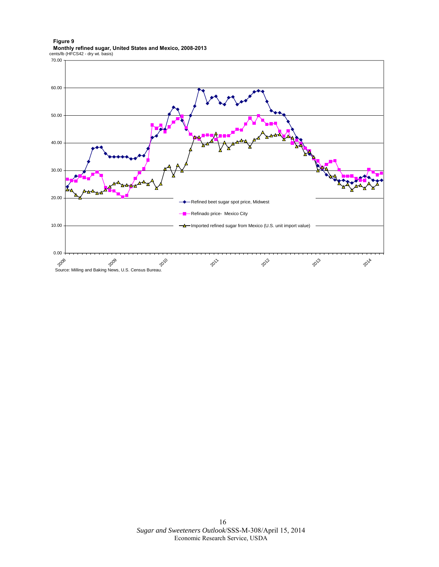**Figure 9 Monthly refined sugar, United States and Mexico, 2008-2013** cents/lb (HFCS42 - dry wt. basis)

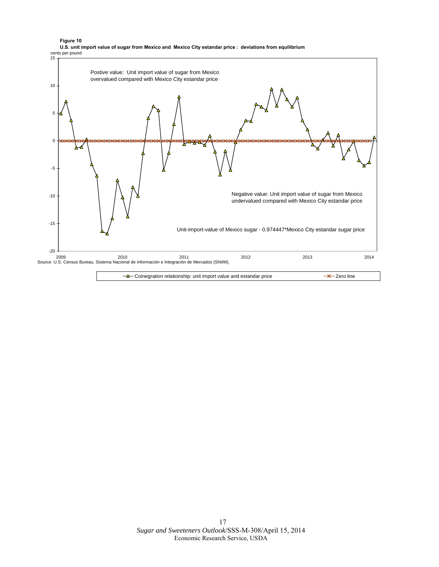

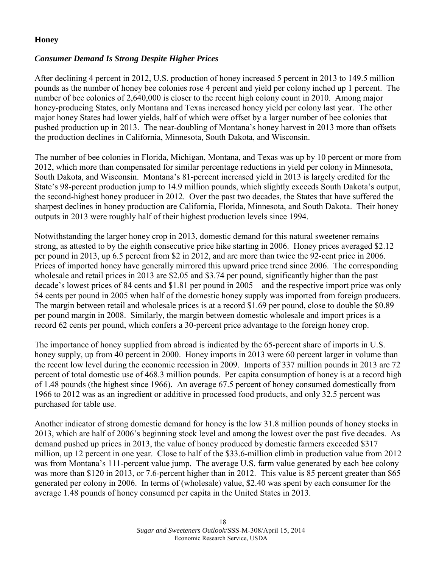### **Honey**

### *Consumer Demand Is Strong Despite Higher Prices*

After declining 4 percent in 2012, U.S. production of honey increased 5 percent in 2013 to 149.5 million pounds as the number of honey bee colonies rose 4 percent and yield per colony inched up 1 percent. The number of bee colonies of 2,640,000 is closer to the recent high colony count in 2010. Among major honey-producing States, only Montana and Texas increased honey yield per colony last year. The other major honey States had lower yields, half of which were offset by a larger number of bee colonies that pushed production up in 2013. The near-doubling of Montana's honey harvest in 2013 more than offsets the production declines in California, Minnesota, South Dakota, and Wisconsin.

The number of bee colonies in Florida, Michigan, Montana, and Texas was up by 10 percent or more from 2012, which more than compensated for similar percentage reductions in yield per colony in Minnesota, South Dakota, and Wisconsin. Montana's 81-percent increased yield in 2013 is largely credited for the State's 98-percent production jump to 14.9 million pounds, which slightly exceeds South Dakota's output, the second-highest honey producer in 2012. Over the past two decades, the States that have suffered the sharpest declines in honey production are California, Florida, Minnesota, and South Dakota. Their honey outputs in 2013 were roughly half of their highest production levels since 1994.

Notwithstanding the larger honey crop in 2013, domestic demand for this natural sweetener remains strong, as attested to by the eighth consecutive price hike starting in 2006. Honey prices averaged \$2.12 per pound in 2013, up 6.5 percent from \$2 in 2012, and are more than twice the 92-cent price in 2006. Prices of imported honey have generally mirrored this upward price trend since 2006. The corresponding wholesale and retail prices in 2013 are \$2.05 and \$3.74 per pound, significantly higher than the past decade's lowest prices of 84 cents and \$1.81 per pound in 2005—and the respective import price was only 54 cents per pound in 2005 when half of the domestic honey supply was imported from foreign producers. The margin between retail and wholesale prices is at a record \$1.69 per pound, close to double the \$0.89 per pound margin in 2008. Similarly, the margin between domestic wholesale and import prices is a record 62 cents per pound, which confers a 30-percent price advantage to the foreign honey crop.

The importance of honey supplied from abroad is indicated by the 65-percent share of imports in U.S. honey supply, up from 40 percent in 2000. Honey imports in 2013 were 60 percent larger in volume than the recent low level during the economic recession in 2009. Imports of 337 million pounds in 2013 are 72 percent of total domestic use of 468.3 million pounds. Per capita consumption of honey is at a record high of 1.48 pounds (the highest since 1966). An average 67.5 percent of honey consumed domestically from 1966 to 2012 was as an ingredient or additive in processed food products, and only 32.5 percent was purchased for table use.

Another indicator of strong domestic demand for honey is the low 31.8 million pounds of honey stocks in 2013, which are half of 2006's beginning stock level and among the lowest over the past five decades. As demand pushed up prices in 2013, the value of honey produced by domestic farmers exceeded \$317 million, up 12 percent in one year. Close to half of the \$33.6-million climb in production value from 2012 was from Montana's 111-percent value jump. The average U.S. farm value generated by each bee colony was more than \$120 in 2013, or 7.6-percent higher than in 2012. This value is 85 percent greater than \$65 generated per colony in 2006. In terms of (wholesale) value, \$2.40 was spent by each consumer for the average 1.48 pounds of honey consumed per capita in the United States in 2013.